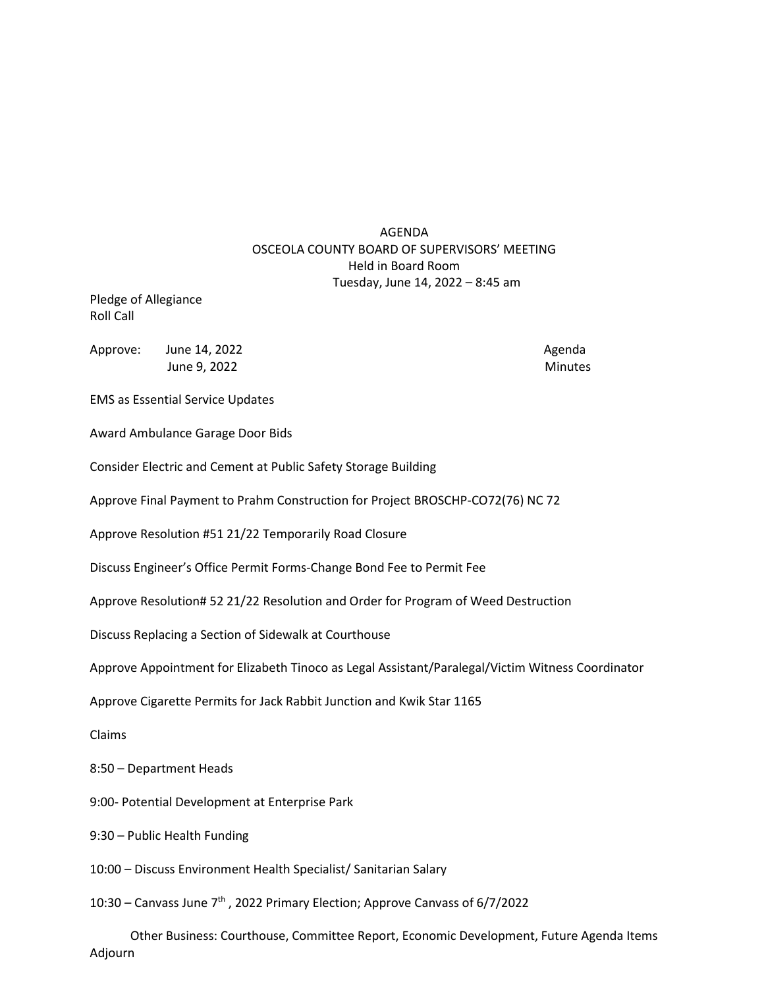## AGENDA OSCEOLA COUNTY BOARD OF SUPERVISORS' MEETING Held in Board Room Tuesday, June 14, 2022 – 8:45 am

Pledge of Allegiance Roll Call

Approve: June 14, 2022 **Agents** Agenda Agenda June 9, 2022 Minutes

EMS as Essential Service Updates

Award Ambulance Garage Door Bids

Consider Electric and Cement at Public Safety Storage Building

Approve Final Payment to Prahm Construction for Project BROSCHP-CO72(76) NC 72

Approve Resolution #51 21/22 Temporarily Road Closure

Discuss Engineer's Office Permit Forms-Change Bond Fee to Permit Fee

Approve Resolution# 52 21/22 Resolution and Order for Program of Weed Destruction

Discuss Replacing a Section of Sidewalk at Courthouse

Approve Appointment for Elizabeth Tinoco as Legal Assistant/Paralegal/Victim Witness Coordinator

Approve Cigarette Permits for Jack Rabbit Junction and Kwik Star 1165

Claims

8:50 – Department Heads

9:00- Potential Development at Enterprise Park

9:30 – Public Health Funding

10:00 – Discuss Environment Health Specialist/ Sanitarian Salary

10:30 – Canvass June 7th , 2022 Primary Election; Approve Canvass of 6/7/2022

 Other Business: Courthouse, Committee Report, Economic Development, Future Agenda Items Adjourn